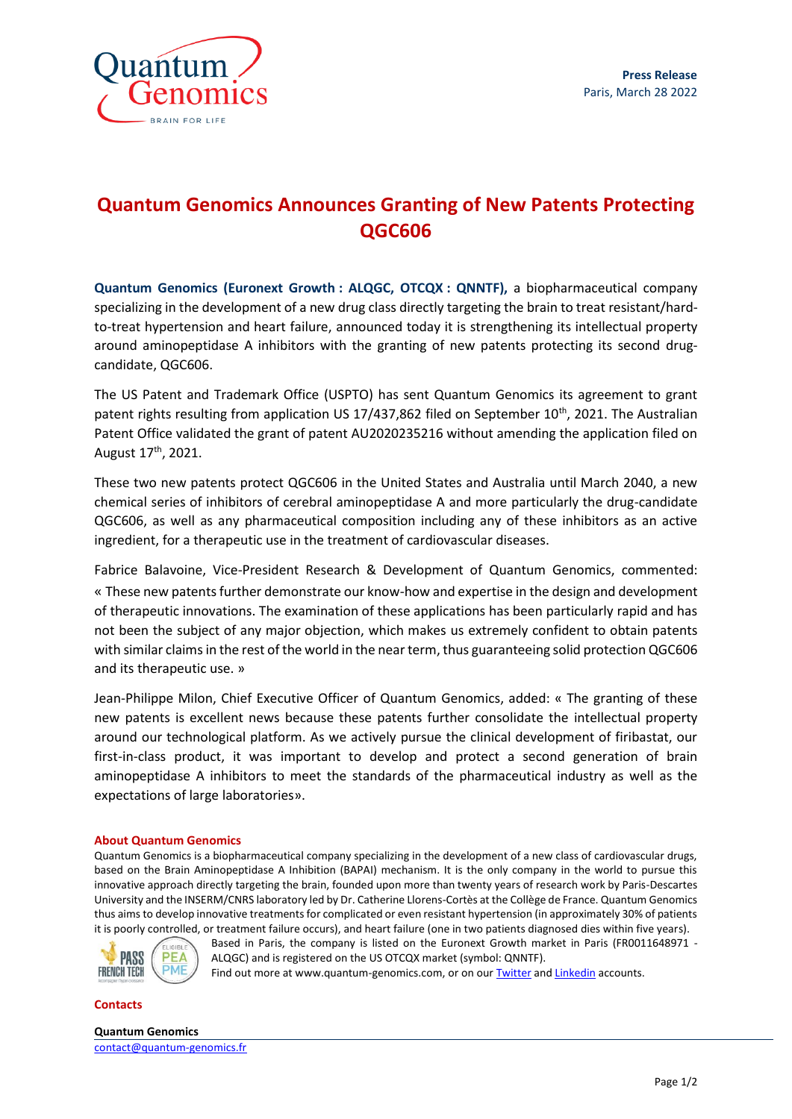

## **Quantum Genomics Announces Granting of New Patents Protecting QGC606**

**Quantum Genomics (Euronext Growth : ALQGC, OTCQX : QNNTF),** a biopharmaceutical company specializing in the development of a new drug class directly targeting the brain to treat resistant/hardto-treat hypertension and heart failure, announced today it is strengthening its intellectual property around aminopeptidase A inhibitors with the granting of new patents protecting its second drugcandidate, QGC606.

The US Patent and Trademark Office (USPTO) has sent Quantum Genomics its agreement to grant patent rights resulting from application US 17/437,862 filed on September 10<sup>th</sup>, 2021. The Australian Patent Office validated the grant of patent AU2020235216 without amending the application filed on August 17<sup>th</sup>, 2021.

These two new patents protect QGC606 in the United States and Australia until March 2040, a new chemical series of inhibitors of cerebral aminopeptidase A and more particularly the drug-candidate QGC606, as well as any pharmaceutical composition including any of these inhibitors as an active ingredient, for a therapeutic use in the treatment of cardiovascular diseases.

Fabrice Balavoine, Vice-President Research & Development of Quantum Genomics, commented: « These new patents further demonstrate our know-how and expertise in the design and development of therapeutic innovations. The examination of these applications has been particularly rapid and has not been the subject of any major objection, which makes us extremely confident to obtain patents with similar claims in the rest of the world in the near term, thus guaranteeing solid protection QGC606 and its therapeutic use. »

Jean-Philippe Milon, Chief Executive Officer of Quantum Genomics, added: « The granting of these new patents is excellent news because these patents further consolidate the intellectual property around our technological platform. As we actively pursue the clinical development of firibastat, our first-in-class product, it was important to develop and protect a second generation of brain aminopeptidase A inhibitors to meet the standards of the pharmaceutical industry as well as the expectations of large laboratories».

## **About Quantum Genomics**

Quantum Genomics is a biopharmaceutical company specializing in the development of a new class of cardiovascular drugs, based on the Brain Aminopeptidase A Inhibition (BAPAI) mechanism. It is the only company in the world to pursue this innovative approach directly targeting the brain, founded upon more than twenty years of research work by Paris-Descartes University and the INSERM/CNRS laboratory led by Dr. Catherine Llorens-Cortès at the Collège de France. Quantum Genomics thus aims to develop innovative treatments for complicated or even resistant hypertension (in approximately 30% of patients it is poorly controlled, or treatment failure occurs), and heart failure (one in two patients diagnosed dies within five years).



Based in Paris, the company is listed on the Euronext Growth market in Paris (FR0011648971 - ALQGC) and is registered on the US OTCQX market (symbol: QNNTF).

Find out more at www.quantum-genomics.com, or on ou[r Twitter](https://twitter.com/QuantumGenomics) an[d Linkedin](https://www.linkedin.com/company/5186305/) accounts.

**Contacts**